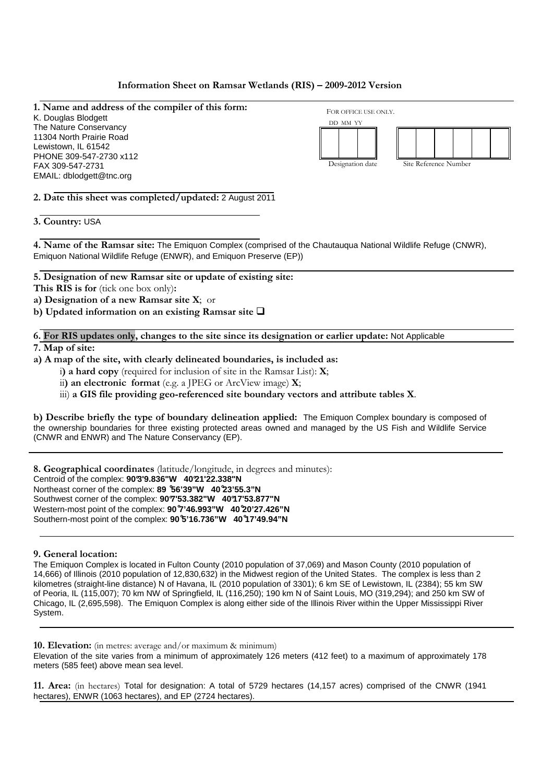# **Information Sheet on Ramsar Wetlands (RIS) – 2009-2012 Version**

**1. Name and address of the compiler of this form:**  K. Douglas Blodgett The Nature Conservancy 11304 North Prairie Road Lewistown, IL 61542 PHONE 309-547-2730 x112 FAX 309-547-2731 EMAIL: dblodgett@tnc.org FOR OFFICE USE ONLY. DD MM YY Designation date Site Reference Number

**2. Date this sheet was completed/updated:** 2 August 2011

**3. Country:** USA

**4. Name of the Ramsar site:** The Emiquon Complex (comprised of the Chautauqua National Wildlife Refuge (CNWR), Emiquon National Wildlife Refuge (ENWR), and Emiquon Preserve (EP))

**5. Designation of new Ramsar site or update of existing site:** 

**This RIS is for** (tick one box only)**:** 

**a) Designation of a new Ramsar site X**; or

**b) Updated information on an existing Ramsar site** 

**6. For RIS updates only, changes to the site since its designation or earlier update:** Not Applicable

**7. Map of site:** 

**a) A map of the site, with clearly delineated boundaries, is included as:**

i**) a hard copy** (required for inclusion of site in the Ramsar List): **X**;

ii**) an electronic format** (e.g. a JPEG or ArcView image) **X**;

iii) **a GIS file providing geo-referenced site boundary vectors and attribute tables X**.

**b) Describe briefly the type of boundary delineation applied:** The Emiquon Complex boundary is composed of the ownership boundaries for three existing protected areas owned and managed by the US Fish and Wildlife Service (CNWR and ENWR) and The Nature Conservancy (EP).

**8. Geographical coordinates** (latitude/longitude, in degrees and minutes): Centroid of the complex: **90°3'9.836"W 40°21'22.338"N**  Northeast corner of the complex: **89 ̊56'39"W 40 ̊23'55.3"N**  Southwest corner of the complex: **90°7'53.382"W 40°17'53.877"N**  Western-most point of the complex: **90 ̊7'46.993"W 40 ̊20'27.426"N**  Southern-most point of the complex: **90 ̊5'16.736"W 40 ̊17'49.94"N** 

**9. General location:** 

The Emiquon Complex is located in Fulton County (2010 population of 37,069) and Mason County (2010 population of 14,666) of Illinois (2010 population of 12,830,632) in the Midwest region of the United States. The complex is less than 2 kilometres (straight-line distance) N of Havana, IL (2010 population of 3301); 6 km SE of Lewistown, IL (2384); 55 km SW of Peoria, IL (115,007); 70 km NW of Springfield, IL (116,250); 190 km N of Saint Louis, MO (319,294); and 250 km SW of Chicago, IL (2,695,598). The Emiquon Complex is along either side of the Illinois River within the Upper Mississippi River System.

**10. Elevation:** (in metres: average and/or maximum & minimum)

Elevation of the site varies from a minimum of approximately 126 meters (412 feet) to a maximum of approximately 178 meters (585 feet) above mean sea level.

**11. Area:** (in hectares) Total for designation: A total of 5729 hectares (14,157 acres) comprised of the CNWR (1941 hectares), ENWR (1063 hectares), and EP (2724 hectares).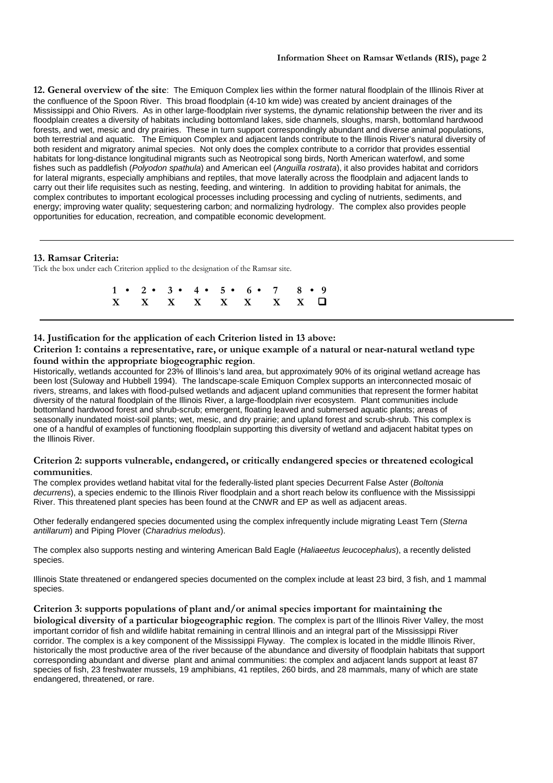**12. General overview of the site**: The Emiquon Complex lies within the former natural floodplain of the Illinois River at the confluence of the Spoon River. This broad floodplain (4-10 km wide) was created by ancient drainages of the Mississippi and Ohio Rivers. As in other large-floodplain river systems, the dynamic relationship between the river and its floodplain creates a diversity of habitats including bottomland lakes, side channels, sloughs, marsh, bottomland hardwood forests, and wet, mesic and dry prairies. These in turn support correspondingly abundant and diverse animal populations, both terrestrial and aquatic. The Emiquon Complex and adjacent lands contribute to the Illinois River's natural diversity of both resident and migratory animal species. Not only does the complex contribute to a corridor that provides essential habitats for long-distance longitudinal migrants such as Neotropical song birds, North American waterfowl, and some fishes such as paddlefish (Polyodon spathula) and American eel (Anguilla rostrata), it also provides habitat and corridors for lateral migrants, especially amphibians and reptiles, that move laterally across the floodplain and adjacent lands to carry out their life requisites such as nesting, feeding, and wintering. In addition to providing habitat for animals, the complex contributes to important ecological processes including processing and cycling of nutrients, sediments, and energy; improving water quality; sequestering carbon; and normalizing hydrology. The complex also provides people opportunities for education, recreation, and compatible economic development.

# **13. Ramsar Criteria:**

Tick the box under each Criterion applied to the designation of the Ramsar site.

|  |  | $1 \cdot 2 \cdot 3 \cdot 4 \cdot 5 \cdot 6 \cdot 7 \cdot 8 \cdot 9$ |  |  |
|--|--|---------------------------------------------------------------------|--|--|
|  |  | $X$ $X$ $X$ $X$ $X$ $X$ $X$ $\Box$                                  |  |  |

# **14. Justification for the application of each Criterion listed in 13 above:**

**Criterion 1: contains a representative, rare, or unique example of a natural or near-natural wetland type found within the appropriate biogeographic region**.

Historically, wetlands accounted for 23% of Illinois's land area, but approximately 90% of its original wetland acreage has been lost (Suloway and Hubbell 1994). The landscape-scale Emiquon Complex supports an interconnected mosaic of rivers, streams, and lakes with flood-pulsed wetlands and adjacent upland communities that represent the former habitat diversity of the natural floodplain of the Illinois River, a large-floodplain river ecosystem. Plant communities include bottomland hardwood forest and shrub-scrub; emergent, floating leaved and submersed aquatic plants; areas of seasonally inundated moist-soil plants; wet, mesic, and dry prairie; and upland forest and scrub-shrub. This complex is one of a handful of examples of functioning floodplain supporting this diversity of wetland and adjacent habitat types on the Illinois River.

# **Criterion 2: supports vulnerable, endangered, or critically endangered species or threatened ecological communities**.

The complex provides wetland habitat vital for the federally-listed plant species Decurrent False Aster (Boltonia decurrens), a species endemic to the Illinois River floodplain and a short reach below its confluence with the Mississippi River. This threatened plant species has been found at the CNWR and EP as well as adjacent areas.

Other federally endangered species documented using the complex infrequently include migrating Least Tern (Sterna antillarum) and Piping Plover (Charadrius melodus).

The complex also supports nesting and wintering American Bald Eagle (Haliaeetus leucocephalus), a recently delisted species.

Illinois State threatened or endangered species documented on the complex include at least 23 bird, 3 fish, and 1 mammal species.

**Criterion 3: supports populations of plant and/or animal species important for maintaining the biological diversity of a particular biogeographic region**. The complex is part of the Illinois River Valley, the most important corridor of fish and wildlife habitat remaining in central Illinois and an integral part of the Mississippi River corridor. The complex is a key component of the Mississippi Flyway. The complex is located in the middle Illinois River, historically the most productive area of the river because of the abundance and diversity of floodplain habitats that support corresponding abundant and diverse plant and animal communities: the complex and adjacent lands support at least 87 species of fish, 23 freshwater mussels, 19 amphibians, 41 reptiles, 260 birds, and 28 mammals, many of which are state endangered, threatened, or rare.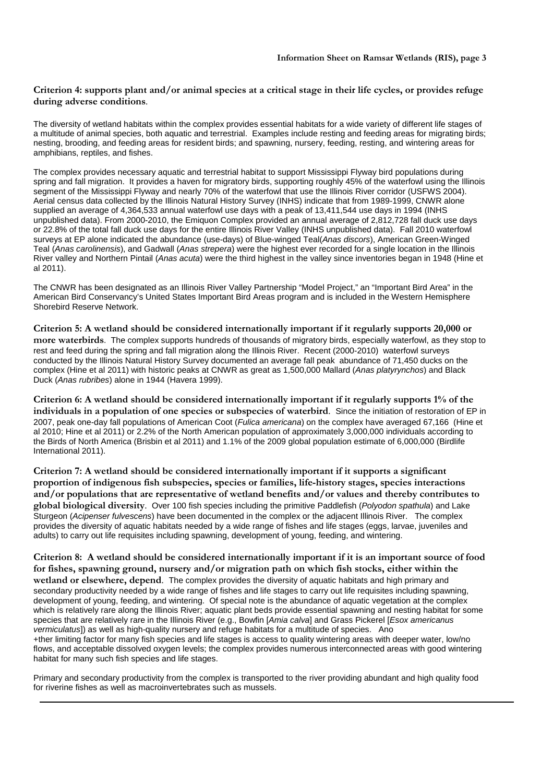# **Criterion 4: supports plant and/or animal species at a critical stage in their life cycles, or provides refuge during adverse conditions**.

The diversity of wetland habitats within the complex provides essential habitats for a wide variety of different life stages of a multitude of animal species, both aquatic and terrestrial. Examples include resting and feeding areas for migrating birds; nesting, brooding, and feeding areas for resident birds; and spawning, nursery, feeding, resting, and wintering areas for amphibians, reptiles, and fishes.

The complex provides necessary aquatic and terrestrial habitat to support Mississippi Flyway bird populations during spring and fall migration. It provides a haven for migratory birds, supporting roughly 45% of the waterfowl using the Illinois segment of the Mississippi Flyway and nearly 70% of the waterfowl that use the Illinois River corridor (USFWS 2004). Aerial census data collected by the Illinois Natural History Survey (INHS) indicate that from 1989-1999, CNWR alone supplied an average of 4,364,533 annual waterfowl use days with a peak of 13,411,544 use days in 1994 (INHS unpublished data). From 2000-2010, the Emiquon Complex provided an annual average of 2,812,728 fall duck use days or 22.8% of the total fall duck use days for the entire Illinois River Valley (INHS unpublished data). Fall 2010 waterfowl surveys at EP alone indicated the abundance (use-days) of Blue-winged Teal(Anas discors), American Green-Winged Teal (Anas carolinensis), and Gadwall (Anas strepera) were the highest ever recorded for a single location in the Illinois River valley and Northern Pintail (Anas acuta) were the third highest in the valley since inventories began in 1948 (Hine et al 2011).

The CNWR has been designated as an Illinois River Valley Partnership "Model Project," an "Important Bird Area" in the American Bird Conservancy's United States Important Bird Areas program and is included in the Western Hemisphere Shorebird Reserve Network.

**Criterion 5: A wetland should be considered internationally important if it regularly supports 20,000 or more waterbirds**. The complex supports hundreds of thousands of migratory birds, especially waterfowl, as they stop to rest and feed during the spring and fall migration along the Illinois River. Recent (2000-2010) waterfowl surveys conducted by the Illinois Natural History Survey documented an average fall peak abundance of 71,450 ducks on the complex (Hine et al 2011) with historic peaks at CNWR as great as 1,500,000 Mallard (Anas platyrynchos) and Black Duck (Anas rubribes) alone in 1944 (Havera 1999).

**Criterion 6: A wetland should be considered internationally important if it regularly supports 1% of the individuals in a population of one species or subspecies of waterbird**. Since the initiation of restoration of EP in 2007, peak one-day fall populations of American Coot (Fulica americana) on the complex have averaged 67,166 (Hine et al 2010; Hine et al 2011) or 2.2% of the North American population of approximately 3,000,000 individuals according to the Birds of North America (Brisbin et al 2011) and 1.1% of the 2009 global population estimate of 6,000,000 (Birdlife International 2011).

**Criterion 7: A wetland should be considered internationally important if it supports a significant proportion of indigenous fish subspecies, species or families, life-history stages, species interactions and/or populations that are representative of wetland benefits and/or values and thereby contributes to global biological diversity**. Over 100 fish species including the primitive Paddlefish (Polyodon spathula) and Lake Sturgeon (Acipenser fulvescens) have been documented in the complex or the adjacent Illinois River. The complex provides the diversity of aquatic habitats needed by a wide range of fishes and life stages (eggs, larvae, juveniles and adults) to carry out life requisites including spawning, development of young, feeding, and wintering.

**Criterion 8: A wetland should be considered internationally important if it is an important source of food for fishes, spawning ground, nursery and/or migration path on which fish stocks, either within the wetland or elsewhere, depend**. The complex provides the diversity of aquatic habitats and high primary and secondary productivity needed by a wide range of fishes and life stages to carry out life requisites including spawning, development of young, feeding, and wintering. Of special note is the abundance of aquatic vegetation at the complex which is relatively rare along the Illinois River; aquatic plant beds provide essential spawning and nesting habitat for some species that are relatively rare in the Illinois River (e.g., Bowfin [Amia calva] and Grass Pickerel [Esox americanus vermiculatus]) as well as high-quality nursery and refuge habitats for a multitude of species. Ano +ther limiting factor for many fish species and life stages is access to quality wintering areas with deeper water, low/no flows, and acceptable dissolved oxygen levels; the complex provides numerous interconnected areas with good wintering habitat for many such fish species and life stages.

Primary and secondary productivity from the complex is transported to the river providing abundant and high quality food for riverine fishes as well as macroinvertebrates such as mussels.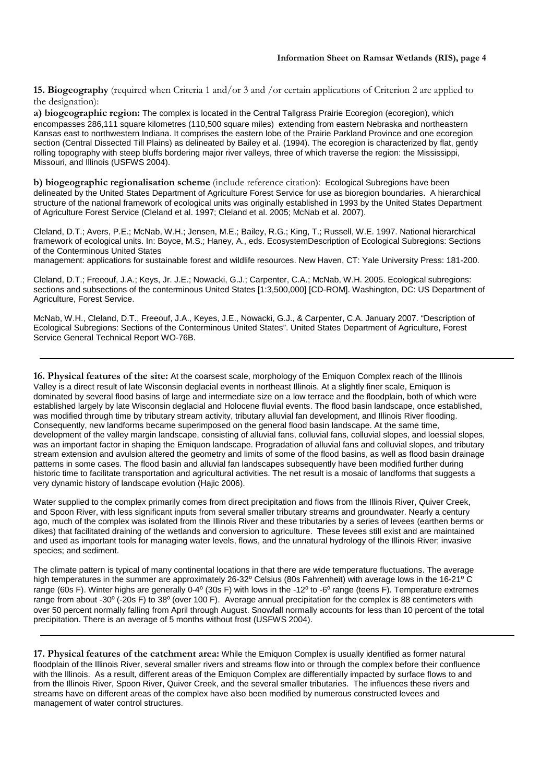**15. Biogeography** (required when Criteria 1 and/or 3 and /or certain applications of Criterion 2 are applied to the designation):

**a) biogeographic region:** The complex is located in the Central Tallgrass Prairie Ecoregion (ecoregion), which encompasses 286,111 square kilometres (110,500 square miles) extending from eastern Nebraska and northeastern Kansas east to northwestern Indiana. It comprises the eastern lobe of the Prairie Parkland Province and one ecoregion section (Central Dissected Till Plains) as delineated by Bailey et al. (1994). The ecoregion is characterized by flat, gently rolling topography with steep bluffs bordering major river valleys, three of which traverse the region: the Mississippi, Missouri, and Illinois (USFWS 2004).

**b) biogeographic regionalisation scheme** (include reference citation): Ecological Subregions have been delineated by the United States Department of Agriculture Forest Service for use as bioregion boundaries. A hierarchical structure of the national framework of ecological units was originally established in 1993 by the United States Department of Agriculture Forest Service (Cleland et al. 1997; Cleland et al. 2005; McNab et al. 2007).

Cleland, D.T.; Avers, P.E.; McNab, W.H.; Jensen, M.E.; Bailey, R.G.; King, T.; Russell, W.E. 1997. National hierarchical framework of ecological units. In: Boyce, M.S.; Haney, A., eds. EcosystemDescription of Ecological Subregions: Sections of the Conterminous United States

management: applications for sustainable forest and wildlife resources. New Haven, CT: Yale University Press: 181-200.

Cleland, D.T.; Freeouf, J.A.; Keys, Jr. J.E.; Nowacki, G.J.; Carpenter, C.A.; McNab, W.H. 2005. Ecological subregions: sections and subsections of the conterminous United States [1:3,500,000] [CD-ROM]. Washington, DC: US Department of Agriculture, Forest Service.

McNab, W.H., Cleland, D.T., Freeouf, J.A., Keyes, J.E., Nowacki, G.J., & Carpenter, C.A. January 2007. "Description of Ecological Subregions: Sections of the Conterminous United States". United States Department of Agriculture, Forest Service General Technical Report WO-76B.

**16. Physical features of the site:** At the coarsest scale, morphology of the Emiquon Complex reach of the Illinois Valley is a direct result of late Wisconsin deglacial events in northeast Illinois. At a slightly finer scale, Emiquon is dominated by several flood basins of large and intermediate size on a low terrace and the floodplain, both of which were established largely by late Wisconsin deglacial and Holocene fluvial events. The flood basin landscape, once established, was modified through time by tributary stream activity, tributary alluvial fan development, and Illinois River flooding. Consequently, new landforms became superimposed on the general flood basin landscape. At the same time, development of the valley margin landscape, consisting of alluvial fans, colluvial fans, colluvial slopes, and loessial slopes, was an important factor in shaping the Emiquon landscape. Progradation of alluvial fans and colluvial slopes, and tributary stream extension and avulsion altered the geometry and limits of some of the flood basins, as well as flood basin drainage patterns in some cases. The flood basin and alluvial fan landscapes subsequently have been modified further during historic time to facilitate transportation and agricultural activities. The net result is a mosaic of landforms that suggests a very dynamic history of landscape evolution (Hajic 2006).

Water supplied to the complex primarily comes from direct precipitation and flows from the Illinois River, Quiver Creek, and Spoon River, with less significant inputs from several smaller tributary streams and groundwater. Nearly a century ago, much of the complex was isolated from the Illinois River and these tributaries by a series of levees (earthen berms or dikes) that facilitated draining of the wetlands and conversion to agriculture. These levees still exist and are maintained and used as important tools for managing water levels, flows, and the unnatural hydrology of the Illinois River; invasive species; and sediment.

The climate pattern is typical of many continental locations in that there are wide temperature fluctuations. The average high temperatures in the summer are approximately 26-32° Celsius (80s Fahrenheit) with average lows in the 16-21° C range (60s F). Winter highs are generally 0-4 $^{\circ}$  (30s F) with lows in the -12 $^{\circ}$  to -6 $^{\circ}$  range (teens F). Temperature extremes range from about -30 $^{\circ}$  (-20s F) to 38 $^{\circ}$  (over 100 F). Average annual precipitation for the complex is 88 centimeters with over 50 percent normally falling from April through August. Snowfall normally accounts for less than 10 percent of the total precipitation. There is an average of 5 months without frost (USFWS 2004).

**17. Physical features of the catchment area:** While the Emiquon Complex is usually identified as former natural floodplain of the Illinois River, several smaller rivers and streams flow into or through the complex before their confluence with the Illinois. As a result, different areas of the Emiquon Complex are differentially impacted by surface flows to and from the Illinois River, Spoon River, Quiver Creek, and the several smaller tributaries. The influences these rivers and streams have on different areas of the complex have also been modified by numerous constructed levees and management of water control structures.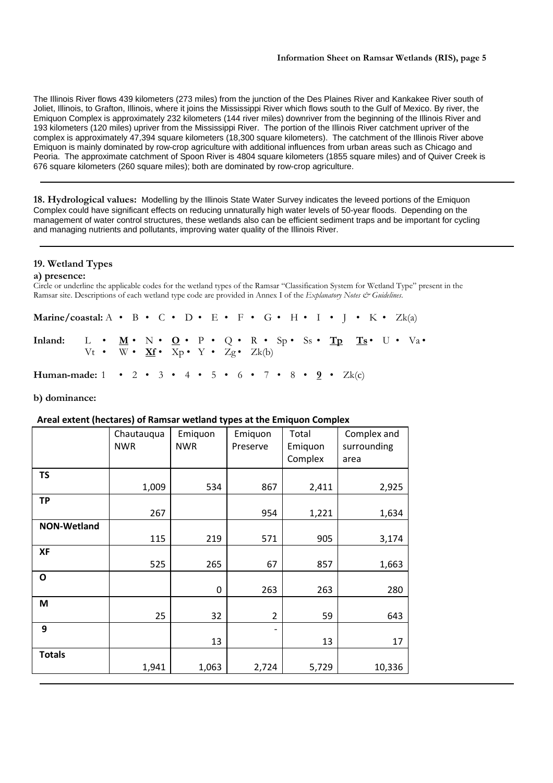The Illinois River flows 439 kilometers (273 miles) from the junction of the Des Plaines River and Kankakee River south of Joliet, Illinois, to Grafton, Illinois, where it joins the Mississippi River which flows south to the Gulf of Mexico. By river, the Emiquon Complex is approximately 232 kilometers (144 river miles) downriver from the beginning of the Illinois River and 193 kilometers (120 miles) upriver from the Mississippi River. The portion of the Illinois River catchment upriver of the complex is approximately 47,394 square kilometers (18,300 square kilometers). The catchment of the Illinois River above Emiquon is mainly dominated by row-crop agriculture with additional influences from urban areas such as Chicago and Peoria. The approximate catchment of Spoon River is 4804 square kilometers (1855 square miles) and of Quiver Creek is 676 square kilometers (260 square miles); both are dominated by row-crop agriculture.

**18. Hydrological values:** Modelling by the Illinois State Water Survey indicates the leveed portions of the Emiquon Complex could have significant effects on reducing unnaturally high water levels of 50-year floods. Depending on the management of water control structures, these wetlands also can be efficient sediment traps and be important for cycling and managing nutrients and pollutants, improving water quality of the Illinois River.

# **19. Wetland Types**

## **a) presence:**

Circle or underline the applicable codes for the wetland types of the Ramsar "Classification System for Wetland Type" present in the Ramsar site. Descriptions of each wetland type code are provided in Annex I of the *Explanatory Notes & Guidelines*.

| Marine/coastal: A • B • C • D • E • F • G • H • I • J • K • Zk(a)                                  |                                                     |  |  |  |  |  |  |  |  |  |  |  |  |
|----------------------------------------------------------------------------------------------------|-----------------------------------------------------|--|--|--|--|--|--|--|--|--|--|--|--|
| Inland: L • $\underline{M}$ • N • $\underline{O}$ • P • Q • R • Sp • Ss • Tp Ts • U • Va •         | Vt • W • $Xf \cdot Xp \cdot Y \cdot Zg \cdot Zk(b)$ |  |  |  |  |  |  |  |  |  |  |  |  |
| Human-made: $1 \cdot 2 \cdot 3 \cdot 4 \cdot 5 \cdot 6 \cdot 7 \cdot 8 \cdot 9 \cdot \text{Zk(c)}$ |                                                     |  |  |  |  |  |  |  |  |  |  |  |  |

**b) dominance:** 

# **Areal extent (hectares) of Ramsar wetland types at the Emiquon Complex**

|                    | Chautauqua<br><b>NWR</b> | Emiquon<br><b>NWR</b> | Emiquon<br>Preserve | Total<br>Emiquon | Complex and<br>surrounding |
|--------------------|--------------------------|-----------------------|---------------------|------------------|----------------------------|
|                    |                          |                       |                     | Complex          | area                       |
| <b>TS</b>          |                          |                       |                     |                  |                            |
|                    | 1,009                    | 534                   | 867                 | 2,411            | 2,925                      |
| <b>TP</b>          |                          |                       |                     |                  |                            |
|                    | 267                      |                       | 954                 | 1,221            | 1,634                      |
| <b>NON-Wetland</b> |                          |                       |                     |                  |                            |
|                    | 115                      | 219                   | 571                 | 905              | 3,174                      |
| <b>XF</b>          |                          |                       |                     |                  |                            |
|                    | 525                      | 265                   | 67                  | 857              | 1,663                      |
| O                  |                          |                       |                     |                  |                            |
|                    |                          | 0                     | 263                 | 263              | 280                        |
| M                  |                          |                       |                     |                  |                            |
|                    | 25                       | 32                    | $\overline{2}$      | 59               | 643                        |
| 9                  |                          |                       |                     |                  |                            |
|                    |                          | 13                    |                     | 13               | 17                         |
| <b>Totals</b>      |                          |                       |                     |                  |                            |
|                    | 1,941                    | 1,063                 | 2,724               | 5,729            | 10,336                     |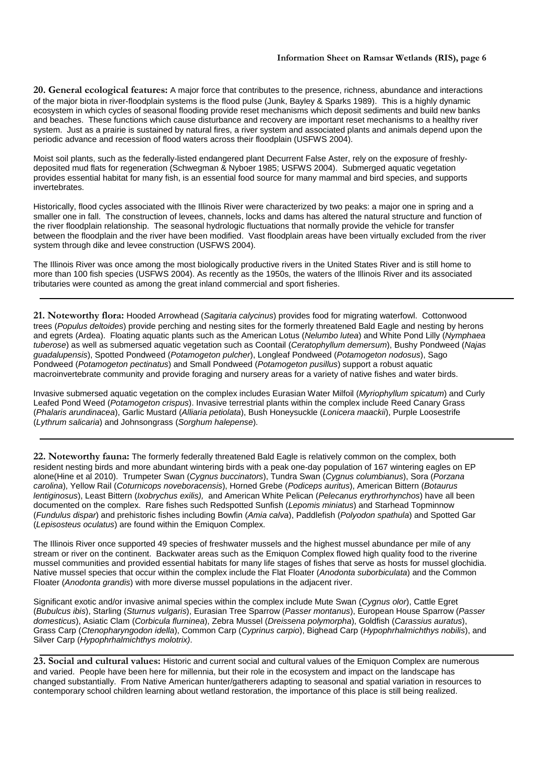**20. General ecological features:** A major force that contributes to the presence, richness, abundance and interactions of the major biota in river-floodplain systems is the flood pulse (Junk, Bayley & Sparks 1989). This is a highly dynamic ecosystem in which cycles of seasonal flooding provide reset mechanisms which deposit sediments and build new banks and beaches. These functions which cause disturbance and recovery are important reset mechanisms to a healthy river system. Just as a prairie is sustained by natural fires, a river system and associated plants and animals depend upon the periodic advance and recession of flood waters across their floodplain (USFWS 2004).

Moist soil plants, such as the federally-listed endangered plant Decurrent False Aster, rely on the exposure of freshlydeposited mud flats for regeneration (Schwegman & Nyboer 1985; USFWS 2004). Submerged aquatic vegetation provides essential habitat for many fish, is an essential food source for many mammal and bird species, and supports invertebrates.

Historically, flood cycles associated with the Illinois River were characterized by two peaks: a major one in spring and a smaller one in fall. The construction of levees, channels, locks and dams has altered the natural structure and function of the river floodplain relationship. The seasonal hydrologic fluctuations that normally provide the vehicle for transfer between the floodplain and the river have been modified. Vast floodplain areas have been virtually excluded from the river system through dike and levee construction (USFWS 2004).

The Illinois River was once among the most biologically productive rivers in the United States River and is still home to more than 100 fish species (USFWS 2004). As recently as the 1950s, the waters of the Illinois River and its associated tributaries were counted as among the great inland commercial and sport fisheries.

**21. Noteworthy flora:** Hooded Arrowhead (Sagitaria calycinus) provides food for migrating waterfowl. Cottonwood trees (Populus deltoides) provide perching and nesting sites for the formerly threatened Bald Eagle and nesting by herons and egrets (Ardea). Floating aquatic plants such as the American Lotus (Nelumbo lutea) and White Pond Lilly (Nymphaea tuberose) as well as submersed aquatic vegetation such as Coontail (Ceratophyllum demersum), Bushy Pondweed (Najas guadalupensis), Spotted Pondweed (Potamogeton pulcher), Longleaf Pondweed (Potamogeton nodosus), Sago Pondweed (Potamogeton pectinatus) and Small Pondweed (Potamogeton pusillus) support a robust aquatic macroinvertebrate community and provide foraging and nursery areas for a variety of native fishes and water birds.

Invasive submersed aquatic vegetation on the complex includes Eurasian Water Milfoil (Myriophyllum spicatum) and Curly Leafed Pond Weed (Potamogeton crispus). Invasive terrestrial plants within the complex include Reed Canary Grass (Phalaris arundinacea), Garlic Mustard (Alliaria petiolata), Bush Honeysuckle (Lonicera maackii), Purple Loosestrife (Lythrum salicaria) and Johnsongrass (Sorghum halepense).

**22. Noteworthy fauna:** The formerly federally threatened Bald Eagle is relatively common on the complex, both resident nesting birds and more abundant wintering birds with a peak one-day population of 167 wintering eagles on EP alone(Hine et al 2010). Trumpeter Swan (Cygnus buccinators), Tundra Swan (Cygnus columbianus), Sora (Porzana carolina), Yellow Rail (Coturnicops noveboracensis), Horned Grebe (Podiceps auritus), American Bittern (Botaurus lentiginosus), Least Bittern (Ixobrychus exilis), and American White Pelican (Pelecanus erythrorhynchos) have all been documented on the complex. Rare fishes such Redspotted Sunfish (Lepomis miniatus) and Starhead Topminnow (Fundulus dispar) and prehistoric fishes including Bowfin (Amia calva), Paddlefish (Polyodon spathula) and Spotted Gar (Lepisosteus oculatus) are found within the Emiquon Complex.

The Illinois River once supported 49 species of freshwater mussels and the highest mussel abundance per mile of any stream or river on the continent. Backwater areas such as the Emiquon Complex flowed high quality food to the riverine mussel communities and provided essential habitats for many life stages of fishes that serve as hosts for mussel glochidia. Native mussel species that occur within the complex include the Flat Floater (Anodonta suborbiculata) and the Common Floater (Anodonta grandis) with more diverse mussel populations in the adjacent river.

Significant exotic and/or invasive animal species within the complex include Mute Swan (Cygnus olor), Cattle Egret (Bubulcus ibis), Starling (Sturnus vulgaris), Eurasian Tree Sparrow (Passer montanus), European House Sparrow (Passer domesticus), Asiatic Clam (Corbicula flurninea), Zebra Mussel (Dreissena polymorpha), Goldfish (Carassius auratus), Grass Carp (Ctenopharyngodon idella), Common Carp (Cyprinus carpio), Bighead Carp (Hypophrhalmichthys nobilis), and Silver Carp (Hypophrhalmichthys molotrix).

**23. Social and cultural values:** Historic and current social and cultural values of the Emiquon Complex are numerous and varied. People have been here for millennia, but their role in the ecosystem and impact on the landscape has changed substantially. From Native American hunter/gatherers adapting to seasonal and spatial variation in resources to contemporary school children learning about wetland restoration, the importance of this place is still being realized.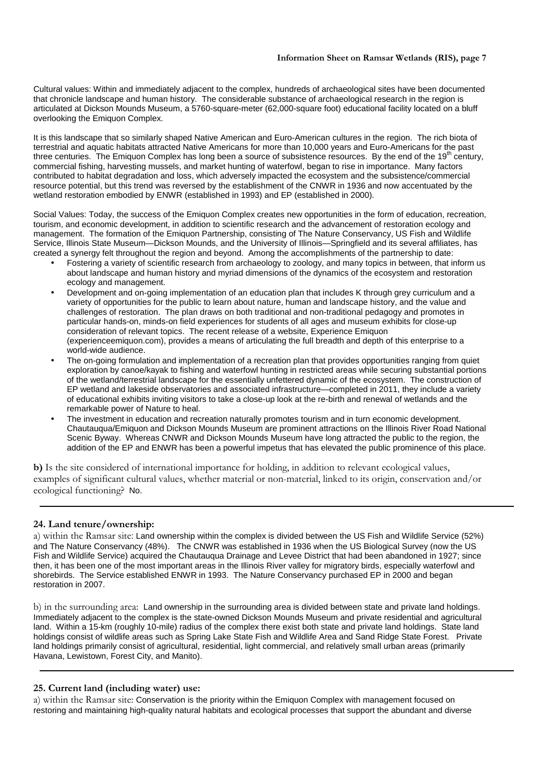Cultural values: Within and immediately adjacent to the complex, hundreds of archaeological sites have been documented that chronicle landscape and human history. The considerable substance of archaeological research in the region is articulated at Dickson Mounds Museum, a 5760-square-meter (62,000-square foot) educational facility located on a bluff overlooking the Emiquon Complex.

It is this landscape that so similarly shaped Native American and Euro-American cultures in the region. The rich biota of terrestrial and aquatic habitats attracted Native Americans for more than 10,000 years and Euro-Americans for the past three centuries. The Emiquon Complex has long been a source of subsistence resources. By the end of the 19<sup>th</sup> century, commercial fishing, harvesting mussels, and market hunting of waterfowl, began to rise in importance. Many factors contributed to habitat degradation and loss, which adversely impacted the ecosystem and the subsistence/commercial resource potential, but this trend was reversed by the establishment of the CNWR in 1936 and now accentuated by the wetland restoration embodied by ENWR (established in 1993) and EP (established in 2000).

Social Values: Today, the success of the Emiquon Complex creates new opportunities in the form of education, recreation, tourism, and economic development, in addition to scientific research and the advancement of restoration ecology and management. The formation of the Emiquon Partnership, consisting of The Nature Conservancy, US Fish and Wildlife Service, Illinois State Museum—Dickson Mounds, and the University of Illinois—Springfield and its several affiliates, has created a synergy felt throughout the region and beyond. Among the accomplishments of the partnership to date:

- Fostering a variety of scientific research from archaeology to zoology, and many topics in between, that inform us about landscape and human history and myriad dimensions of the dynamics of the ecosystem and restoration ecology and management.
- Development and on-going implementation of an education plan that includes K through grey curriculum and a variety of opportunities for the public to learn about nature, human and landscape history, and the value and challenges of restoration. The plan draws on both traditional and non-traditional pedagogy and promotes in particular hands-on, minds-on field experiences for students of all ages and museum exhibits for close-up consideration of relevant topics. The recent release of a website, Experience Emiquon (experienceemiquon.com), provides a means of articulating the full breadth and depth of this enterprise to a world-wide audience.
- The on-going formulation and implementation of a recreation plan that provides opportunities ranging from quiet exploration by canoe/kayak to fishing and waterfowl hunting in restricted areas while securing substantial portions of the wetland/terrestrial landscape for the essentially unfettered dynamic of the ecosystem. The construction of EP wetland and lakeside observatories and associated infrastructure—completed in 2011, they include a variety of educational exhibits inviting visitors to take a close-up look at the re-birth and renewal of wetlands and the remarkable power of Nature to heal.
- The investment in education and recreation naturally promotes tourism and in turn economic development. Chautauqua/Emiquon and Dickson Mounds Museum are prominent attractions on the Illinois River Road National Scenic Byway. Whereas CNWR and Dickson Mounds Museum have long attracted the public to the region, the addition of the EP and ENWR has been a powerful impetus that has elevated the public prominence of this place.

**b)** Is the site considered of international importance for holding, in addition to relevant ecological values, examples of significant cultural values, whether material or non-material, linked to its origin, conservation and/or ecological functioning? No.

# **24. Land tenure/ownership:**

a) within the Ramsar site: Land ownership within the complex is divided between the US Fish and Wildlife Service (52%) and The Nature Conservancy (48%). The CNWR was established in 1936 when the US Biological Survey (now the US Fish and Wildlife Service) acquired the Chautauqua Drainage and Levee District that had been abandoned in 1927; since then, it has been one of the most important areas in the Illinois River valley for migratory birds, especially waterfowl and shorebirds. The Service established ENWR in 1993. The Nature Conservancy purchased EP in 2000 and began restoration in 2007.

b) in the surrounding area: Land ownership in the surrounding area is divided between state and private land holdings. Immediately adjacent to the complex is the state-owned Dickson Mounds Museum and private residential and agricultural land. Within a 15-km (roughly 10-mile) radius of the complex there exist both state and private land holdings. State land holdings consist of wildlife areas such as Spring Lake State Fish and Wildlife Area and Sand Ridge State Forest. Private land holdings primarily consist of agricultural, residential, light commercial, and relatively small urban areas (primarily Havana, Lewistown, Forest City, and Manito).

# **25. Current land (including water) use:**

a) within the Ramsar site: Conservation is the priority within the Emiquon Complex with management focused on restoring and maintaining high-quality natural habitats and ecological processes that support the abundant and diverse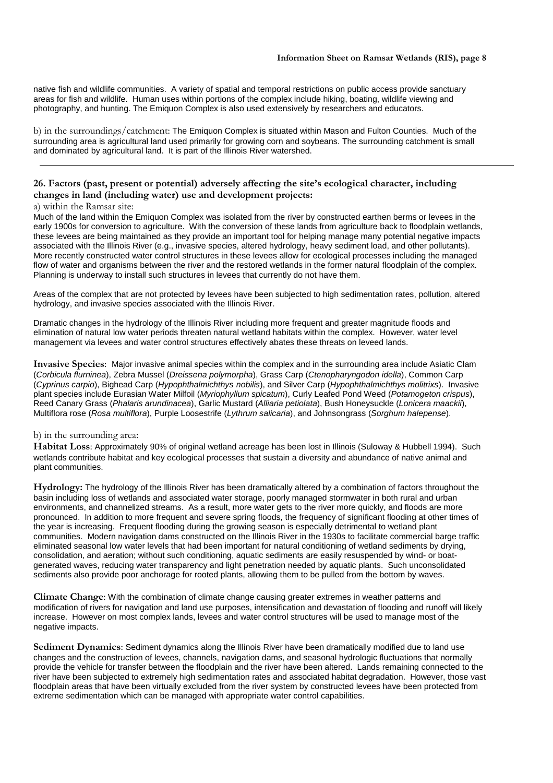native fish and wildlife communities. A variety of spatial and temporal restrictions on public access provide sanctuary areas for fish and wildlife. Human uses within portions of the complex include hiking, boating, wildlife viewing and photography, and hunting. The Emiquon Complex is also used extensively by researchers and educators.

b) in the surroundings/catchment: The Emiquon Complex is situated within Mason and Fulton Counties. Much of the surrounding area is agricultural land used primarily for growing corn and soybeans. The surrounding catchment is small and dominated by agricultural land. It is part of the Illinois River watershed.

# **26. Factors (past, present or potential) adversely affecting the site's ecological character, including changes in land (including water) use and development projects:**

## a) within the Ramsar site:

Much of the land within the Emiquon Complex was isolated from the river by constructed earthen berms or levees in the early 1900s for conversion to agriculture. With the conversion of these lands from agriculture back to floodplain wetlands, these levees are being maintained as they provide an important tool for helping manage many potential negative impacts associated with the Illinois River (e.g., invasive species, altered hydrology, heavy sediment load, and other pollutants). More recently constructed water control structures in these levees allow for ecological processes including the managed flow of water and organisms between the river and the restored wetlands in the former natural floodplain of the complex. Planning is underway to install such structures in levees that currently do not have them.

Areas of the complex that are not protected by levees have been subjected to high sedimentation rates, pollution, altered hydrology, and invasive species associated with the Illinois River.

Dramatic changes in the hydrology of the Illinois River including more frequent and greater magnitude floods and elimination of natural low water periods threaten natural wetland habitats within the complex. However, water level management via levees and water control structures effectively abates these threats on leveed lands.

**Invasive Species**: Major invasive animal species within the complex and in the surrounding area include Asiatic Clam (Corbicula flurninea), Zebra Mussel (Dreissena polymorpha), Grass Carp (Ctenopharyngodon idella), Common Carp (Cyprinus carpio), Bighead Carp (Hypophthalmichthys nobilis), and Silver Carp (Hypophthalmichthys molitrixs). Invasive plant species include Eurasian Water Milfoil (Myriophyllum spicatum), Curly Leafed Pond Weed (Potamogeton crispus), Reed Canary Grass (Phalaris arundinacea), Garlic Mustard (Alliaria petiolata), Bush Honeysuckle (Lonicera maackii), Multiflora rose (Rosa multiflora), Purple Loosestrife (Lythrum salicaria), and Johnsongrass (Sorghum halepense).

## b) in the surrounding area:

**Habitat Loss**: Approximately 90% of original wetland acreage has been lost in Illinois (Suloway & Hubbell 1994). Such wetlands contribute habitat and key ecological processes that sustain a diversity and abundance of native animal and plant communities.

**Hydrology:** The hydrology of the Illinois River has been dramatically altered by a combination of factors throughout the basin including loss of wetlands and associated water storage, poorly managed stormwater in both rural and urban environments, and channelized streams. As a result, more water gets to the river more quickly, and floods are more pronounced. In addition to more frequent and severe spring floods, the frequency of significant flooding at other times of the year is increasing. Frequent flooding during the growing season is especially detrimental to wetland plant communities. Modern navigation dams constructed on the Illinois River in the 1930s to facilitate commercial barge traffic eliminated seasonal low water levels that had been important for natural conditioning of wetland sediments by drying, consolidation, and aeration; without such conditioning, aquatic sediments are easily resuspended by wind- or boatgenerated waves, reducing water transparency and light penetration needed by aquatic plants. Such unconsolidated sediments also provide poor anchorage for rooted plants, allowing them to be pulled from the bottom by waves.

**Climate Change**: With the combination of climate change causing greater extremes in weather patterns and modification of rivers for navigation and land use purposes, intensification and devastation of flooding and runoff will likely increase. However on most complex lands, levees and water control structures will be used to manage most of the negative impacts.

**Sediment Dynamics**: Sediment dynamics along the Illinois River have been dramatically modified due to land use changes and the construction of levees, channels, navigation dams, and seasonal hydrologic fluctuations that normally provide the vehicle for transfer between the floodplain and the river have been altered. Lands remaining connected to the river have been subjected to extremely high sedimentation rates and associated habitat degradation. However, those vast floodplain areas that have been virtually excluded from the river system by constructed levees have been protected from extreme sedimentation which can be managed with appropriate water control capabilities.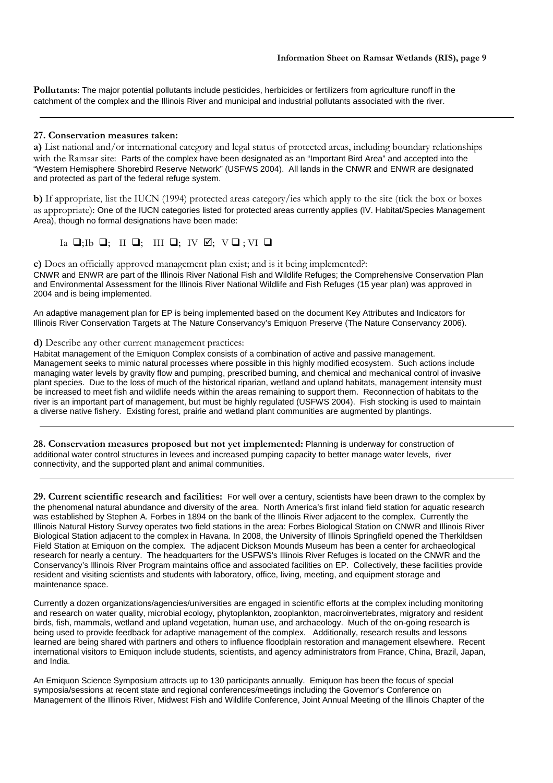**Pollutants**: The major potential pollutants include pesticides, herbicides or fertilizers from agriculture runoff in the catchment of the complex and the Illinois River and municipal and industrial pollutants associated with the river.

## **27. Conservation measures taken:**

**a)** List national and/or international category and legal status of protected areas, including boundary relationships with the Ramsar site: Parts of the complex have been designated as an "Important Bird Area" and accepted into the "Western Hemisphere Shorebird Reserve Network" (USFWS 2004). All lands in the CNWR and ENWR are designated and protected as part of the federal refuge system.

**b)** If appropriate, list the IUCN (1994) protected areas category/ies which apply to the site (tick the box or boxes as appropriate): One of the IUCN categories listed for protected areas currently applies (IV. Habitat/Species Management Area), though no formal designations have been made:

Ia  $\Box$ ; Ib  $\Box$ ; III  $\Box$ ; IV  $\Box$ ; V $\Box$ ; VI  $\Box$ 

**c)** Does an officially approved management plan exist; and is it being implemented?: CNWR and ENWR are part of the Illinois River National Fish and Wildlife Refuges; the Comprehensive Conservation Plan and Environmental Assessment for the Illinois River National Wildlife and Fish Refuges (15 year plan) was approved in 2004 and is being implemented.

An adaptive management plan for EP is being implemented based on the document Key Attributes and Indicators for Illinois River Conservation Targets at The Nature Conservancy's Emiquon Preserve (The Nature Conservancy 2006).

## **d)** Describe any other current management practices:

Habitat management of the Emiquon Complex consists of a combination of active and passive management. Management seeks to mimic natural processes where possible in this highly modified ecosystem. Such actions include managing water levels by gravity flow and pumping, prescribed burning, and chemical and mechanical control of invasive plant species. Due to the loss of much of the historical riparian, wetland and upland habitats, management intensity must be increased to meet fish and wildlife needs within the areas remaining to support them. Reconnection of habitats to the river is an important part of management, but must be highly regulated (USFWS 2004). Fish stocking is used to maintain a diverse native fishery. Existing forest, prairie and wetland plant communities are augmented by plantings.

**28. Conservation measures proposed but not yet implemented:** Planning is underway for construction of additional water control structures in levees and increased pumping capacity to better manage water levels, river connectivity, and the supported plant and animal communities.

**29. Current scientific research and facilities:** For well over a century, scientists have been drawn to the complex by the phenomenal natural abundance and diversity of the area. North America's first inland field station for aquatic research was established by Stephen A. Forbes in 1894 on the bank of the Illinois River adjacent to the complex. Currently the Illinois Natural History Survey operates two field stations in the area: Forbes Biological Station on CNWR and Illinois River Biological Station adjacent to the complex in Havana. In 2008, the University of Illinois Springfield opened the Therkildsen Field Station at Emiquon on the complex. The adjacent Dickson Mounds Museum has been a center for archaeological research for nearly a century. The headquarters for the USFWS's Illinois River Refuges is located on the CNWR and the Conservancy's Illinois River Program maintains office and associated facilities on EP. Collectively, these facilities provide resident and visiting scientists and students with laboratory, office, living, meeting, and equipment storage and maintenance space.

Currently a dozen organizations/agencies/universities are engaged in scientific efforts at the complex including monitoring and research on water quality, microbial ecology, phytoplankton, zooplankton, macroinvertebrates, migratory and resident birds, fish, mammals, wetland and upland vegetation, human use, and archaeology. Much of the on-going research is being used to provide feedback for adaptive management of the complex. Additionally, research results and lessons learned are being shared with partners and others to influence floodplain restoration and management elsewhere. Recent international visitors to Emiquon include students, scientists, and agency administrators from France, China, Brazil, Japan, and India.

An Emiquon Science Symposium attracts up to 130 participants annually. Emiquon has been the focus of special symposia/sessions at recent state and regional conferences/meetings including the Governor's Conference on Management of the Illinois River, Midwest Fish and Wildlife Conference, Joint Annual Meeting of the Illinois Chapter of the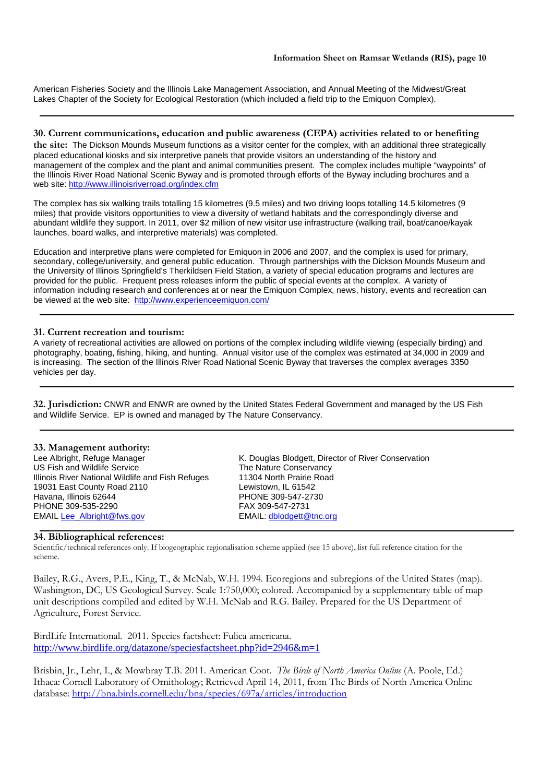American Fisheries Society and the Illinois Lake Management Association, and Annual Meeting of the Midwest/Great Lakes Chapter of the Society for Ecological Restoration (which included a field trip to the Emiquon Complex).

# **30. Current communications, education and public awareness (CEPA) activities related to or benefiting**

**the site:** The Dickson Mounds Museum functions as a visitor center for the complex, with an additional three strategically placed educational kiosks and six interpretive panels that provide visitors an understanding of the history and management of the complex and the plant and animal communities present. The complex includes multiple "waypoints" of the Illinois River Road National Scenic Byway and is promoted through efforts of the Byway including brochures and a web site: http://www.illinoisriverroad.org/index.cfm

The complex has six walking trails totalling 15 kilometres (9.5 miles) and two driving loops totalling 14.5 kilometres (9 miles) that provide visitors opportunities to view a diversity of wetland habitats and the correspondingly diverse and abundant wildlife they support. In 2011, over \$2 million of new visitor use infrastructure (walking trail, boat/canoe/kayak launches, board walks, and interpretive materials) was completed.

Education and interpretive plans were completed for Emiquon in 2006 and 2007, and the complex is used for primary, secondary, college/university, and general public education. Through partnerships with the Dickson Mounds Museum and the University of Illinois Springfield's Therkildsen Field Station, a variety of special education programs and lectures are provided for the public. Frequent press releases inform the public of special events at the complex. A variety of information including research and conferences at or near the Emiquon Complex, news, history, events and recreation can be viewed at the web site: http://www.experienceemiquon.com/

## **31. Current recreation and tourism:**

A variety of recreational activities are allowed on portions of the complex including wildlife viewing (especially birding) and photography, boating, fishing, hiking, and hunting. Annual visitor use of the complex was estimated at 34,000 in 2009 and is increasing. The section of the Illinois River Road National Scenic Byway that traverses the complex averages 3350 vehicles per day.

**32. Jurisdiction:** CNWR and ENWR are owned by the United States Federal Government and managed by the US Fish and Wildlife Service. EP is owned and managed by The Nature Conservancy.

**33. Management authority:**  US Fish and Wildlife Service **The Nature Conservancy** Illinois River National Wildlife and Fish Refuges 11304 North Prairie Road 19031 East County Road 2110<br>
Havana, Illinois 62644<br>
Havana, Illinois 62644<br>
Havana, Illinois 62644 PHONE 309-535-2290 FAX 309-547-2731 EMAIL Lee\_Albright@fws.gov EMAIL: dblodgett@tnc.org

K. Douglas Blodgett, Director of River Conservation PHONE 309-547-2730

## **34. Bibliographical references:**

Scientific/technical references only. If biogeographic regionalisation scheme applied (see 15 above), list full reference citation for the scheme.

Bailey, R.G., Avers, P.E., King, T., & McNab, W.H. 1994. Ecoregions and subregions of the United States (map). Washington, DC, US Geological Survey. Scale 1:750,000; colored. Accompanied by a supplementary table of map unit descriptions compiled and edited by W.H. McNab and R.G. Bailey. Prepared for the US Department of Agriculture, Forest Service.

BirdLife International. 2011. Species factsheet: Fulica americana. http://www.birdlife.org/datazone/speciesfactsheet.php?id=2946&m=1

Brisbin, Jr., Lehr, I., & Mowbray T.B. 2011. American Coot. *The Birds of North America Online* (A. Poole, Ed.) Ithaca: Cornell Laboratory of Ornithology; Retrieved April 14, 2011, from The Birds of North America Online database: http://bna.birds.cornell.edu/bna/species/697a/articles/introduction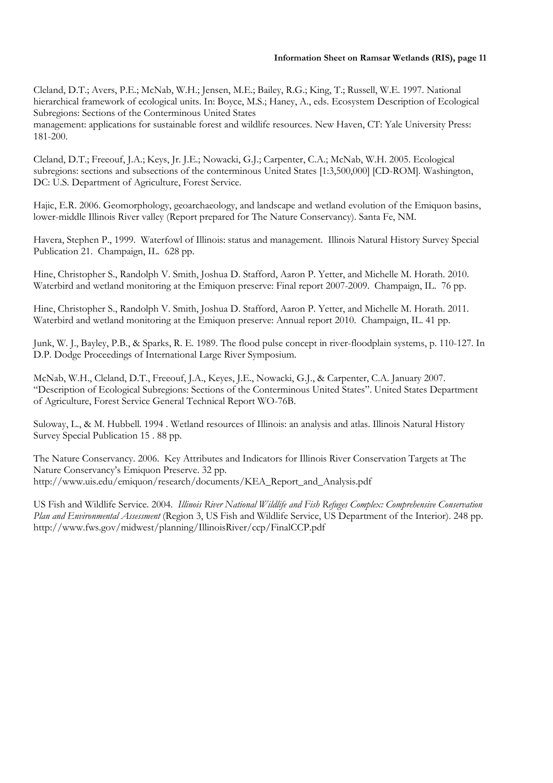Cleland, D.T.; Avers, P.E.; McNab, W.H.; Jensen, M.E.; Bailey, R.G.; King, T.; Russell, W.E. 1997. National hierarchical framework of ecological units. In: Boyce, M.S.; Haney, A., eds. Ecosystem Description of Ecological Subregions: Sections of the Conterminous United States management: applications for sustainable forest and wildlife resources. New Haven, CT: Yale University Press: 181-200.

Cleland, D.T.; Freeouf, J.A.; Keys, Jr. J.E.; Nowacki, G.J.; Carpenter, C.A.; McNab, W.H. 2005. Ecological subregions: sections and subsections of the conterminous United States [1:3,500,000] [CD-ROM]. Washington, DC: U.S. Department of Agriculture, Forest Service.

Hajic, E.R. 2006. Geomorphology, geoarchaeology, and landscape and wetland evolution of the Emiquon basins, lower-middle Illinois River valley (Report prepared for The Nature Conservancy). Santa Fe, NM.

Havera, Stephen P., 1999. Waterfowl of Illinois: status and management. Illinois Natural History Survey Special Publication 21. Champaign, IL. 628 pp.

Hine, Christopher S., Randolph V. Smith, Joshua D. Stafford, Aaron P. Yetter, and Michelle M. Horath. 2010. Waterbird and wetland monitoring at the Emiquon preserve: Final report 2007-2009. Champaign, IL. 76 pp.

Hine, Christopher S., Randolph V. Smith, Joshua D. Stafford, Aaron P. Yetter, and Michelle M. Horath. 2011*.*  Waterbird and wetland monitoring at the Emiquon preserve: Annual report 2010. Champaign, IL. 41 pp.

Junk, W. J., Bayley, P.B., & Sparks, R. E. 1989. The flood pulse concept in river-floodplain systems, p. 110-127. In D.P. Dodge Proceedings of International Large River Symposium.

McNab, W.H., Cleland, D.T., Freeouf, J.A., Keyes, J.E., Nowacki, G.J., & Carpenter, C.A. January 2007. "Description of Ecological Subregions: Sections of the Conterminous United States". United States Department of Agriculture, Forest Service General Technical Report WO-76B.

Suloway, L., & M. Hubbell. 1994 . Wetland resources of Illinois: an analysis and atlas. Illinois Natural History Survey Special Publication 15 . 88 pp.

The Nature Conservancy. 2006. Key Attributes and Indicators for Illinois River Conservation Targets at The Nature Conservancy's Emiquon Preserve. 32 pp. http://www.uis.edu/emiquon/research/documents/KEA\_Report\_and\_Analysis.pdf

US Fish and Wildlife Service. 2004. *Illinois River National Wildlife and Fish Refuges Complex: Comprehensive Conservation Plan and Environmental Assessment* (Region 3, US Fish and Wildlife Service, US Department of the Interior). 248 pp. http://www.fws.gov/midwest/planning/IllinoisRiver/ccp/FinalCCP.pdf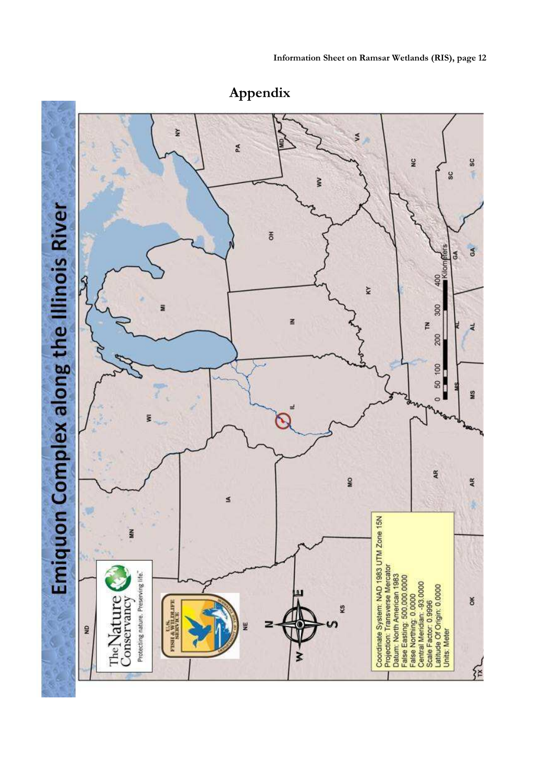

**Appendix**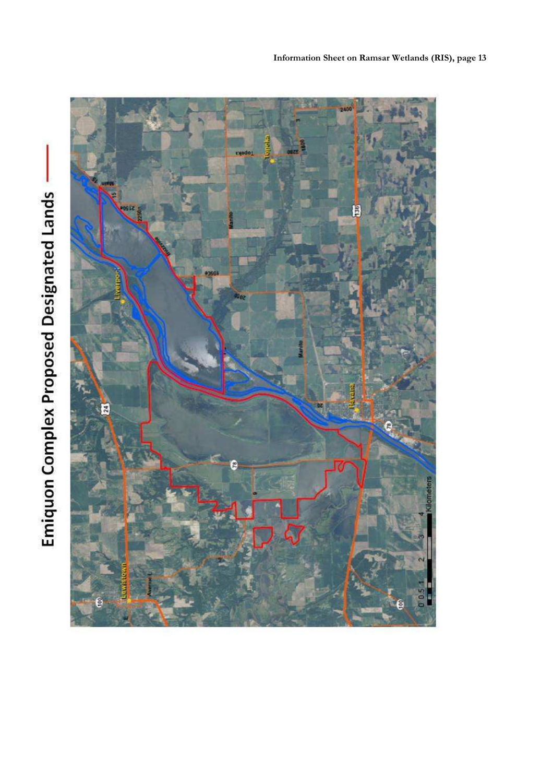

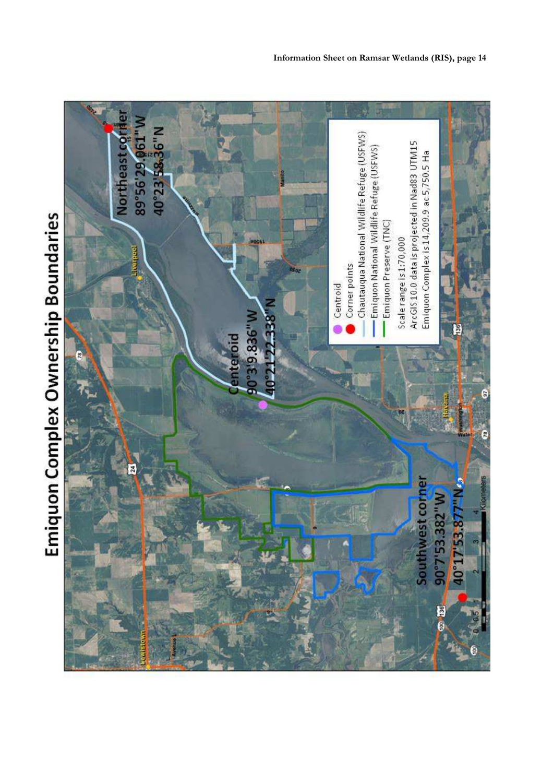